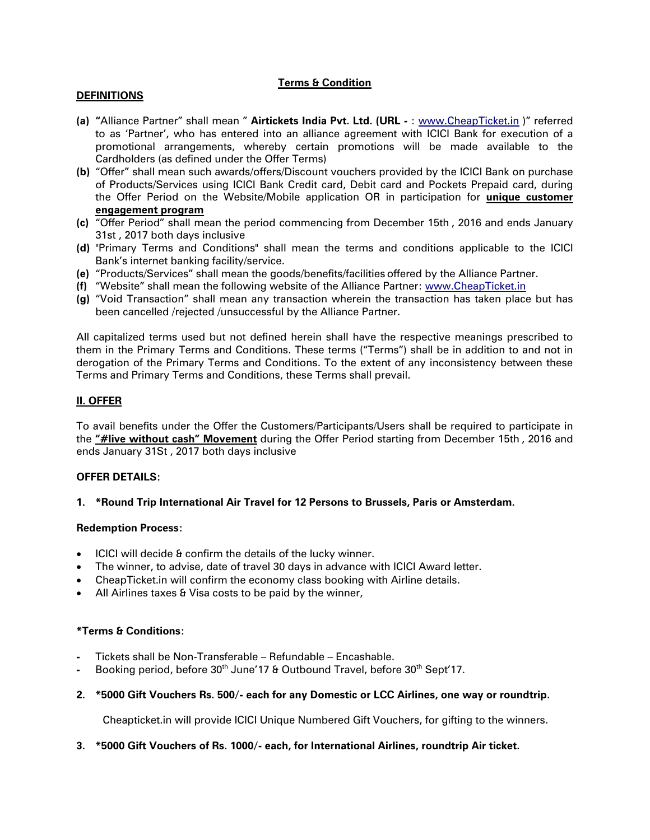## **Terms & Condition**

## **DEFINITIONS**

- **(a) "**Alliance Partner" shall mean " **Airtickets India Pvt. Ltd. (URL -** : [www.CheapTicket.in](http://www.cheapticket.in/) )" referred to as 'Partner', who has entered into an alliance agreement with ICICI Bank for execution of a promotional arrangements, whereby certain promotions will be made available to the Cardholders (as defined under the Offer Terms)
- **(b)** "Offer" shall mean such awards/offers/Discount vouchers provided by the ICICI Bank on purchase of Products/Services using ICICI Bank Credit card, Debit card and Pockets Prepaid card, during the Offer Period on the Website/Mobile application OR in participation for **unique customer engagement program**
- **(c)** "Offer Period" shall mean the period commencing from December 15th , 2016 and ends January 31st , 2017 both days inclusive
- **(d)** "Primary Terms and Conditions" shall mean the terms and conditions applicable to the ICICI Bank's internet banking facility/service.
- **(e)** "Products/Services" shall mean the goods/benefits/facilities offered by the Alliance Partner.
- **(f)** "Website" shall mean the following website of the Alliance Partner: [www.CheapTicket.in](http://www.cheapticket.in/)
- **(g)** "Void Transaction" shall mean any transaction wherein the transaction has taken place but has been cancelled /rejected /unsuccessful by the Alliance Partner.

All capitalized terms used but not defined herein shall have the respective meanings prescribed to them in the Primary Terms and Conditions. These terms ("Terms") shall be in addition to and not in derogation of the Primary Terms and Conditions. To the extent of any inconsistency between these Terms and Primary Terms and Conditions, these Terms shall prevail.

## **II. OFFER**

To avail benefits under the Offer the Customers/Participants/Users shall be required to participate in the **"#live without cash" Movement** during the Offer Period starting from December 15th , 2016 and ends January 31St , 2017 both days inclusive

#### **OFFER DETAILS:**

#### **1. \*Round Trip International Air Travel for 12 Persons to Brussels, Paris or Amsterdam.**

#### **Redemption Process:**

- ICICI will decide & confirm the details of the lucky winner.
- The winner, to advise, date of travel 30 days in advance with ICICI Award letter.
- CheapTicket.in will confirm the economy class booking with Airline details.
- All Airlines taxes & Visa costs to be paid by the winner,

### **\*Terms & Conditions:**

- **-** Tickets shall be Non-Transferable Refundable Encashable.
- Booking period, before 30<sup>th</sup> June'17 & Outbound Travel, before 30<sup>th</sup> Sept'17.
- **2. \*5000 Gift Vouchers Rs. 500/- each for any Domestic or LCC Airlines, one way or roundtrip.**

Cheapticket.in will provide ICICI Unique Numbered Gift Vouchers, for gifting to the winners.

#### **3. \*5000 Gift Vouchers of Rs. 1000/- each, for International Airlines, roundtrip Air ticket.**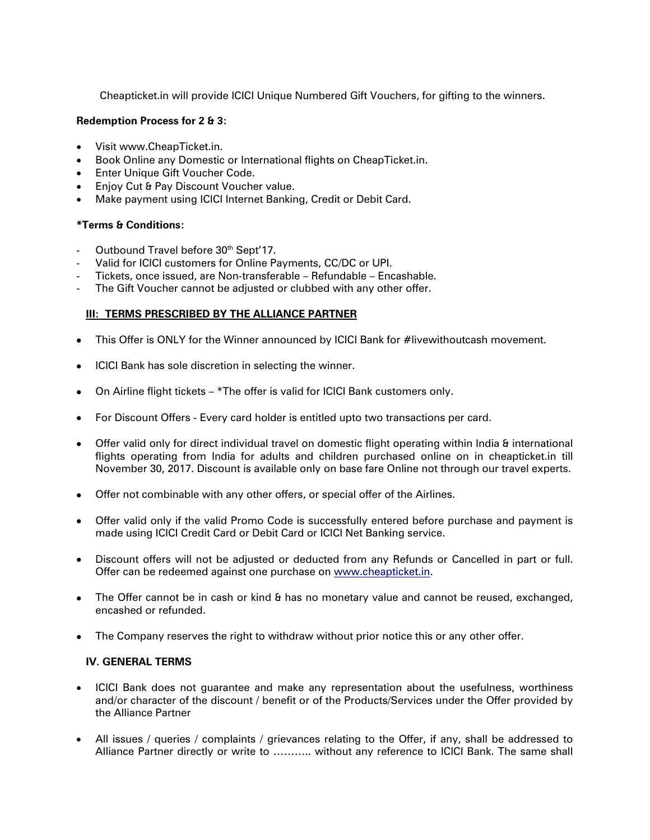Cheapticket.in will provide ICICI Unique Numbered Gift Vouchers, for gifting to the winners.

## **Redemption Process for 2 & 3:**

- Visit www.CheapTicket.in.
- Book Online any Domestic or International flights on CheapTicket.in.
- Enter Unique Gift Voucher Code.
- Enjoy Cut & Pay Discount Voucher value.
- Make payment using ICICI Internet Banking, Credit or Debit Card.

## **\*Terms & Conditions:**

- Outbound Travel before 30<sup>th</sup> Sept'17.
- Valid for ICICI customers for Online Payments, CC/DC or UPI.
- Tickets, once issued, are Non-transferable Refundable Encashable.
- The Gift Voucher cannot be adjusted or clubbed with any other offer.

## **III: TERMS PRESCRIBED BY THE ALLIANCE PARTNER**

- This Offer is ONLY for the Winner announced by ICICI Bank for #livewithoutcash movement.
- ICICI Bank has sole discretion in selecting the winner.
- On Airline flight tickets \*The offer is valid for ICICI Bank customers only.
- For Discount Offers Every card holder is entitled upto two transactions per card.
- Offer valid only for direct individual travel on domestic flight operating within India & international flights operating from India for adults and children purchased online on in cheapticket.in till November 30, 2017. Discount is available only on base fare Online not through our travel experts.
- Offer not combinable with any other offers, or special offer of the Airlines.
- Offer valid only if the valid Promo Code is successfully entered before purchase and payment is made using ICICI Credit Card or Debit Card or ICICI Net Banking service.
- Discount offers will not be adjusted or deducted from any Refunds or Cancelled in part or full. Offer can be redeemed against one purchase on [www.cheapticket.in.](http://www.cheapticket.in/)
- The Offer cannot be in cash or kind & has no monetary value and cannot be reused, exchanged, encashed or refunded.
- The Company reserves the right to withdraw without prior notice this or any other offer.

# **IV. GENERAL TERMS**

- ICICI Bank does not guarantee and make any representation about the usefulness, worthiness and/or character of the discount / benefit or of the Products/Services under the Offer provided by the Alliance Partner
- All issues / queries / complaints / grievances relating to the Offer, if any, shall be addressed to Alliance Partner directly or write to ……….. without any reference to ICICI Bank. The same shall